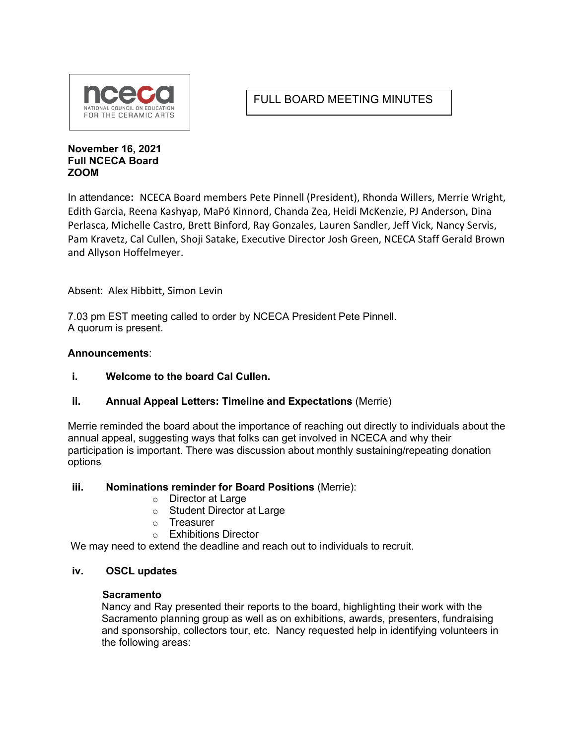

# FULL BOARD MEETING MINUTES

#### **November 16, 2021 Full NCECA Board ZOOM**

In attendance**:** NCECA Board members Pete Pinnell (President), Rhonda Willers, Merrie Wright, Edith Garcia, Reena Kashyap, MaPó Kinnord, Chanda Zea, Heidi McKenzie, PJ Anderson, Dina Perlasca, Michelle Castro, Brett Binford, Ray Gonzales, Lauren Sandler, Jeff Vick, Nancy Servis, Pam Kravetz, Cal Cullen, Shoji Satake, Executive Director Josh Green, NCECA Staff Gerald Brown and Allyson Hoffelmeyer.

Absent: Alex Hibbitt, Simon Levin

7.03 pm EST meeting called to order by NCECA President Pete Pinnell. A quorum is present.

### **Announcements**:

**i. Welcome to the board Cal Cullen.**

## **ii. Annual Appeal Letters: Timeline and Expectations** (Merrie)

Merrie reminded the board about the importance of reaching out directly to individuals about the annual appeal, suggesting ways that folks can get involved in NCECA and why their participation is important. There was discussion about monthly sustaining/repeating donation options

#### **iii. Nominations reminder for Board Positions** (Merrie):

- o Director at Large
- o Student Director at Large
- o Treasurer
- o Exhibitions Director

We may need to extend the deadline and reach out to individuals to recruit.

#### **iv. OSCL updates**

#### **Sacramento**

Nancy and Ray presented their reports to the board, highlighting their work with the Sacramento planning group as well as on exhibitions, awards, presenters, fundraising and sponsorship, collectors tour, etc. Nancy requested help in identifying volunteers in the following areas: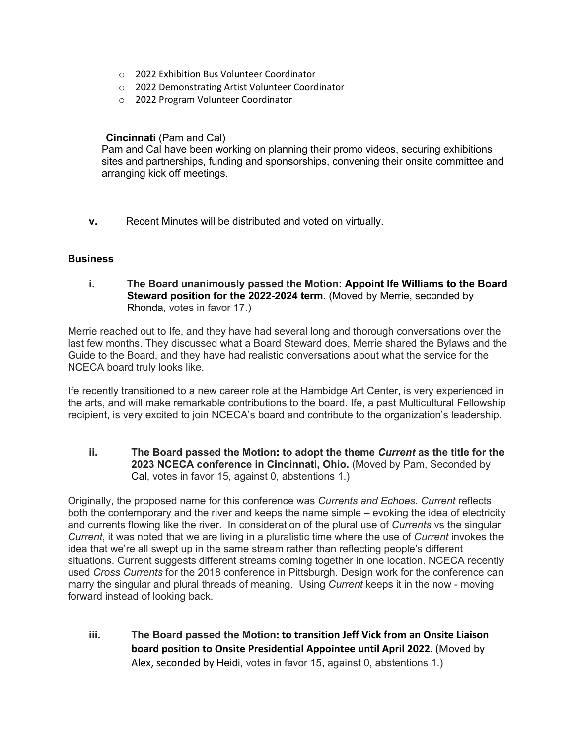- o 2022 Exhibition Bus Volunteer Coordinator
- o 2022 Demonstrating Artist Volunteer Coordinator
- o 2022 Program Volunteer Coordinator

**Cincinnati** (Pam and Cal)

Pam and Cal have been working on planning their promo videos, securing exhibitions sites and partnerships, funding and sponsorships, convening their onsite committee and arranging kick off meetings.

**v.** Recent Minutes will be distributed and voted on virtually.

#### **Business**

**i. The Board unanimously passed the Motion: Appoint Ife Williams to the Board Steward position for the 2022-2024 term**. (Moved by Merrie, seconded by Rhonda, votes in favor 17.)

Merrie reached out to Ife, and they have had several long and thorough conversations over the last few months. They discussed what a Board Steward does, Merrie shared the Bylaws and the Guide to the Board, and they have had realistic conversations about what the service for the NCECA board truly looks like.

Ife recently transitioned to a new career role at the Hambidge Art Center, is very experienced in the arts, and will make remarkable contributions to the board. Ife, a past Multicultural Fellowship recipient, is very excited to join NCECA's board and contribute to the organization's leadership.

**ii. The Board passed the Motion: to adopt the theme** *Current* **as the title for the 2023 NCECA conference in Cincinnati, Ohio.** (Moved by Pam, Seconded by Cal, votes in favor 15, against 0, abstentions 1.)

Originally, the proposed name for this conference was *Currents and Echoes*. *Current* reflects both the contemporary and the river and keeps the name simple – evoking the idea of electricity and currents flowing like the river. In consideration of the plural use of *Currents* vs the singular *Current*, it was noted that we are living in a pluralistic time where the use of *Current* invokes the idea that we're all swept up in the same stream rather than reflecting people's different situations. Current suggests different streams coming together in one location. NCECA recently used *Cross Currents* for the 2018 conference in Pittsburgh. Design work for the conference can marry the singular and plural threads of meaning. Using *Current* keeps it in the now - moving forward instead of looking back.

**iii. The Board passed the Motion: to transition Jeff Vick from an Onsite Liaison board position to Onsite Presidential Appointee until April 2022**. (Moved by Alex, seconded by Heidi, votes in favor 15, against 0, abstentions 1.)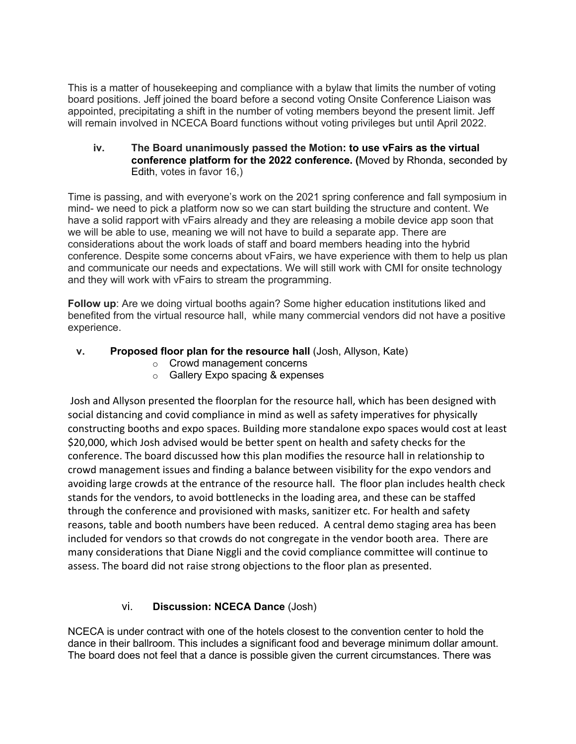This is a matter of housekeeping and compliance with a bylaw that limits the number of voting board positions. Jeff joined the board before a second voting Onsite Conference Liaison was appointed, precipitating a shift in the number of voting members beyond the present limit. Jeff will remain involved in NCECA Board functions without voting privileges but until April 2022.

**iv. The Board unanimously passed the Motion: to use vFairs as the virtual conference platform for the 2022 conference. (**Moved by Rhonda, seconded by Edith, votes in favor 16,)

Time is passing, and with everyone's work on the 2021 spring conference and fall symposium in mind- we need to pick a platform now so we can start building the structure and content. We have a solid rapport with vFairs already and they are releasing a mobile device app soon that we will be able to use, meaning we will not have to build a separate app. There are considerations about the work loads of staff and board members heading into the hybrid conference. Despite some concerns about vFairs, we have experience with them to help us plan and communicate our needs and expectations. We will still work with CMI for onsite technology and they will work with vFairs to stream the programming.

**Follow up**: Are we doing virtual booths again? Some higher education institutions liked and benefited from the virtual resource hall, while many commercial vendors did not have a positive experience.

- **v. Proposed floor plan for the resource hall** (Josh, Allyson, Kate)
	- o Crowd management concerns
	- o Gallery Expo spacing & expenses

Josh and Allyson presented the floorplan for the resource hall, which has been designed with social distancing and covid compliance in mind as well as safety imperatives for physically constructing booths and expo spaces. Building more standalone expo spaces would cost at least \$20,000, which Josh advised would be better spent on health and safety checks for the conference. The board discussed how this plan modifies the resource hall in relationship to crowd management issues and finding a balance between visibility for the expo vendors and avoiding large crowds at the entrance of the resource hall. The floor plan includes health check stands for the vendors, to avoid bottlenecks in the loading area, and these can be staffed through the conference and provisioned with masks, sanitizer etc. For health and safety reasons, table and booth numbers have been reduced. A central demo staging area has been included for vendors so that crowds do not congregate in the vendor booth area. There are many considerations that Diane Niggli and the covid compliance committee will continue to assess. The board did not raise strong objections to the floor plan as presented.

## vi. **Discussion: NCECA Dance** (Josh)

NCECA is under contract with one of the hotels closest to the convention center to hold the dance in their ballroom. This includes a significant food and beverage minimum dollar amount. The board does not feel that a dance is possible given the current circumstances. There was